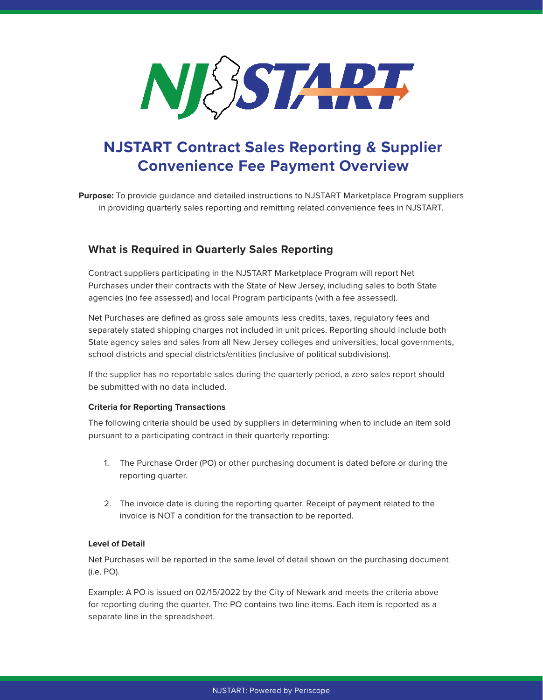

# **NJSTART Contract Sales Reporting & Supplier Convenience Fee Payment Overview**

**Purpose:** To provide guidance and detailed instructions to NJSTART Marketplace Program suppliers in providing quarterly sales reporting and remitting related convenience fees in NJSTART.

## **What is Required in Quarterly Sales Reporting**

Contract suppliers participating in the NJSTART Marketplace Program will report Net Purchases under their contracts with the State of New Jersey, including sales to both State agencies (no fee assessed) and local Program participants (with a fee assessed).

Net Purchases are defined as gross sale amounts less credits, taxes, regulatory fees and separately stated shipping charges not included in unit prices. Reporting should include both State agency sales and sales from all New Jersey colleges and universities, local governments, school districts and special districts/entities (inclusive of political subdivisions).

If the supplier has no reportable sales during the quarterly period, a zero sales report should be submitted with no data included.

## **Criteria for Reporting Transactions**

The following criteria should be used by suppliers in determining when to include an item sold pursuant to a participating contract in their quarterly reporting:

- 1. The Purchase Order (PO) or other purchasing document is dated before or during the reporting quarter.
- 2. The invoice date is during the reporting quarter. Receipt of payment related to the invoice is NOT a condition for the transaction to be reported.

## **Level of Detail**

Net Purchases will be reported in the same level of detail shown on the purchasing document (i.e. PO).

Example: A PO is issued on 02/15/2022 by the City of Newark and meets the criteria above for reporting during the quarter. The PO contains two line items. Each item is reported as a separate line in the spreadsheet.